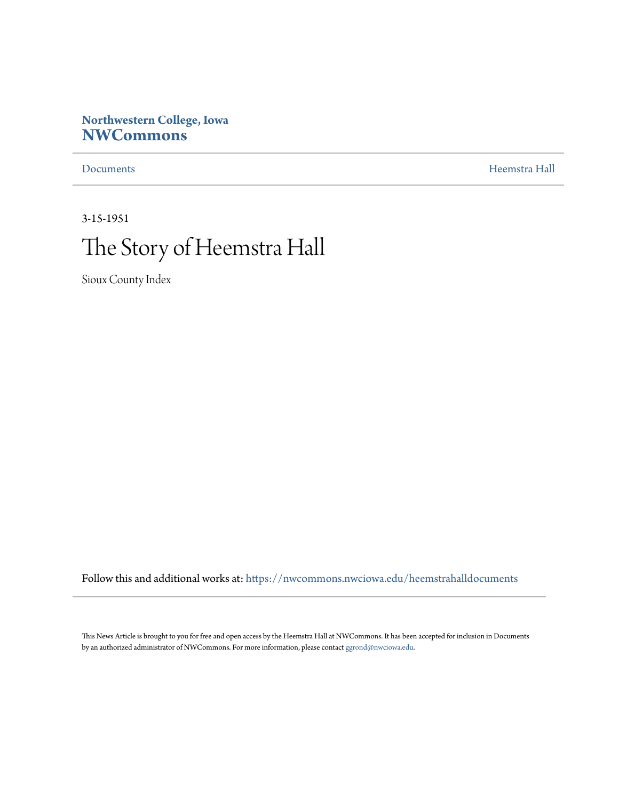# **Northwestern College, Iowa [NWCommons](https://nwcommons.nwciowa.edu?utm_source=nwcommons.nwciowa.edu%2Fheemstrahalldocuments%2F8&utm_medium=PDF&utm_campaign=PDFCoverPages)**

[Documents](https://nwcommons.nwciowa.edu/heemstrahalldocuments?utm_source=nwcommons.nwciowa.edu%2Fheemstrahalldocuments%2F8&utm_medium=PDF&utm_campaign=PDFCoverPages) [Heemstra Hall](https://nwcommons.nwciowa.edu/heemstrahallcollection?utm_source=nwcommons.nwciowa.edu%2Fheemstrahalldocuments%2F8&utm_medium=PDF&utm_campaign=PDFCoverPages)

3-15-1951

# The Story of Heemstra Hall

Sioux County Index

Follow this and additional works at: [https://nwcommons.nwciowa.edu/heemstrahalldocuments](https://nwcommons.nwciowa.edu/heemstrahalldocuments?utm_source=nwcommons.nwciowa.edu%2Fheemstrahalldocuments%2F8&utm_medium=PDF&utm_campaign=PDFCoverPages)

This News Article is brought to you for free and open access by the Heemstra Hall at NWCommons. It has been accepted for inclusion in Documents by an authorized administrator of NWCommons. For more information, please contact [ggrond@nwciowa.edu](mailto:ggrond@nwciowa.edu).